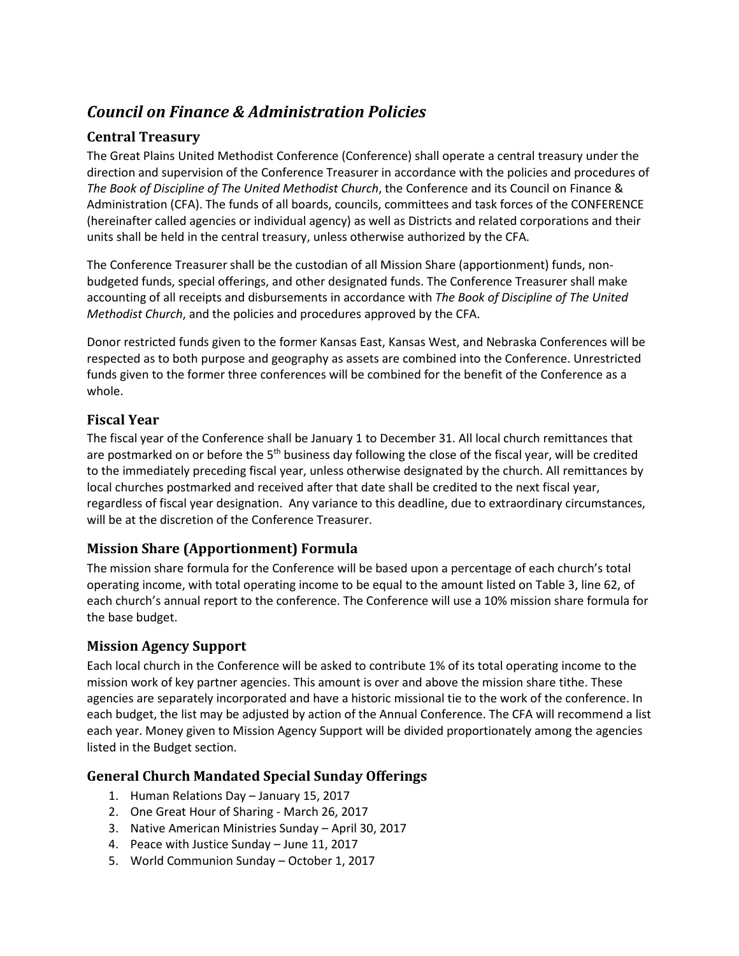# *Council on Finance & Administration Policies*

# **Central Treasury**

The Great Plains United Methodist Conference (Conference) shall operate a central treasury under the direction and supervision of the Conference Treasurer in accordance with the policies and procedures of *The Book of Discipline of The United Methodist Church*, the Conference and its Council on Finance & Administration (CFA). The funds of all boards, councils, committees and task forces of the CONFERENCE (hereinafter called agencies or individual agency) as well as Districts and related corporations and their units shall be held in the central treasury, unless otherwise authorized by the CFA.

The Conference Treasurer shall be the custodian of all Mission Share (apportionment) funds, nonbudgeted funds, special offerings, and other designated funds. The Conference Treasurer shall make accounting of all receipts and disbursements in accordance with *The Book of Discipline of The United Methodist Church*, and the policies and procedures approved by the CFA.

Donor restricted funds given to the former Kansas East, Kansas West, and Nebraska Conferences will be respected as to both purpose and geography as assets are combined into the Conference. Unrestricted funds given to the former three conferences will be combined for the benefit of the Conference as a whole.

### **Fiscal Year**

The fiscal year of the Conference shall be January 1 to December 31. All local church remittances that are postmarked on or before the 5<sup>th</sup> business day following the close of the fiscal year, will be credited to the immediately preceding fiscal year, unless otherwise designated by the church. All remittances by local churches postmarked and received after that date shall be credited to the next fiscal year, regardless of fiscal year designation. Any variance to this deadline, due to extraordinary circumstances, will be at the discretion of the Conference Treasurer.

# **Mission Share (Apportionment) Formula**

The mission share formula for the Conference will be based upon a percentage of each church's total operating income, with total operating income to be equal to the amount listed on Table 3, line 62, of each church's annual report to the conference. The Conference will use a 10% mission share formula for the base budget.

### **Mission Agency Support**

Each local church in the Conference will be asked to contribute 1% of its total operating income to the mission work of key partner agencies. This amount is over and above the mission share tithe. These agencies are separately incorporated and have a historic missional tie to the work of the conference. In each budget, the list may be adjusted by action of the Annual Conference. The CFA will recommend a list each year. Money given to Mission Agency Support will be divided proportionately among the agencies listed in the Budget section.

### **General Church Mandated Special Sunday Offerings**

- 1. Human Relations Day January 15, 2017
- 2. One Great Hour of Sharing March 26, 2017
- 3. Native American Ministries Sunday April 30, 2017
- 4. Peace with Justice Sunday June 11, 2017
- 5. World Communion Sunday October 1, 2017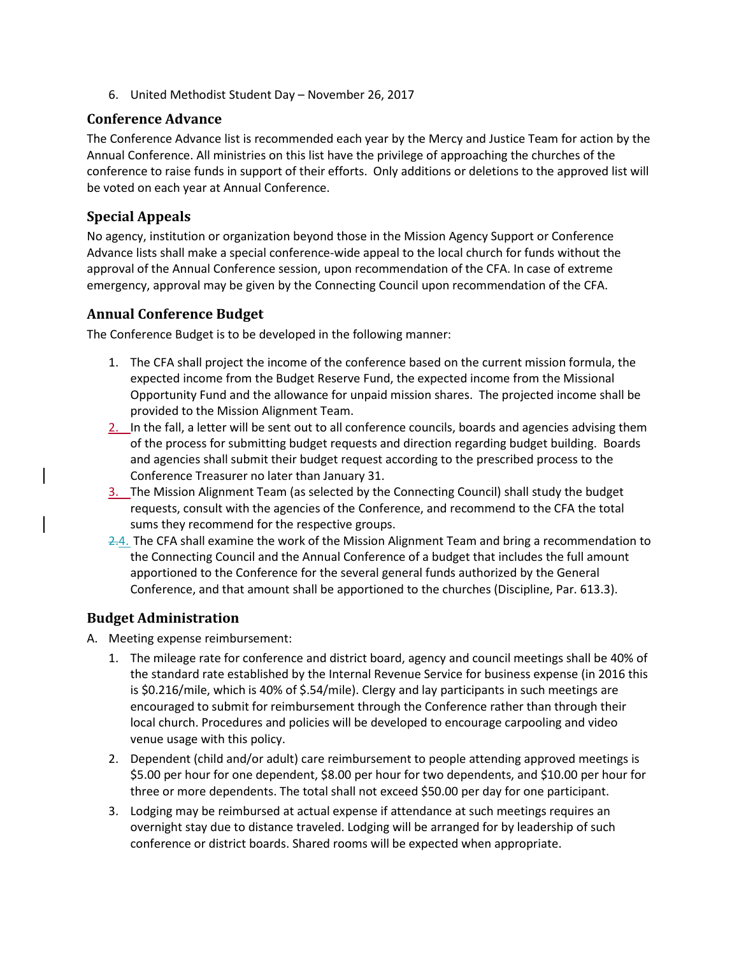6. United Methodist Student Day – November 26, 2017

### **Conference Advance**

The Conference Advance list is recommended each year by the Mercy and Justice Team for action by the Annual Conference. All ministries on this list have the privilege of approaching the churches of the conference to raise funds in support of their efforts. Only additions or deletions to the approved list will be voted on each year at Annual Conference.

## **Special Appeals**

No agency, institution or organization beyond those in the Mission Agency Support or Conference Advance lists shall make a special conference-wide appeal to the local church for funds without the approval of the Annual Conference session, upon recommendation of the CFA. In case of extreme emergency, approval may be given by the Connecting Council upon recommendation of the CFA.

### **Annual Conference Budget**

The Conference Budget is to be developed in the following manner:

- 1. The CFA shall project the income of the conference based on the current mission formula, the expected income from the Budget Reserve Fund, the expected income from the Missional Opportunity Fund and the allowance for unpaid mission shares. The projected income shall be provided to the Mission Alignment Team.
- 2. In the fall, a letter will be sent out to all conference councils, boards and agencies advising them of the process for submitting budget requests and direction regarding budget building. Boards and agencies shall submit their budget request according to the prescribed process to the Conference Treasurer no later than January 31.
- 3. The Mission Alignment Team (as selected by the Connecting Council) shall study the budget requests, consult with the agencies of the Conference, and recommend to the CFA the total sums they recommend for the respective groups.
- 2.4. The CFA shall examine the work of the Mission Alignment Team and bring a recommendation to the Connecting Council and the Annual Conference of a budget that includes the full amount apportioned to the Conference for the several general funds authorized by the General Conference, and that amount shall be apportioned to the churches (Discipline, Par. 613.3).

### **Budget Administration**

- A. Meeting expense reimbursement:
	- 1. The mileage rate for conference and district board, agency and council meetings shall be 40% of the standard rate established by the Internal Revenue Service for business expense (in 2016 this is \$0.216/mile, which is 40% of \$.54/mile). Clergy and lay participants in such meetings are encouraged to submit for reimbursement through the Conference rather than through their local church. Procedures and policies will be developed to encourage carpooling and video venue usage with this policy.
	- 2. Dependent (child and/or adult) care reimbursement to people attending approved meetings is \$5.00 per hour for one dependent, \$8.00 per hour for two dependents, and \$10.00 per hour for three or more dependents. The total shall not exceed \$50.00 per day for one participant.
	- 3. Lodging may be reimbursed at actual expense if attendance at such meetings requires an overnight stay due to distance traveled. Lodging will be arranged for by leadership of such conference or district boards. Shared rooms will be expected when appropriate.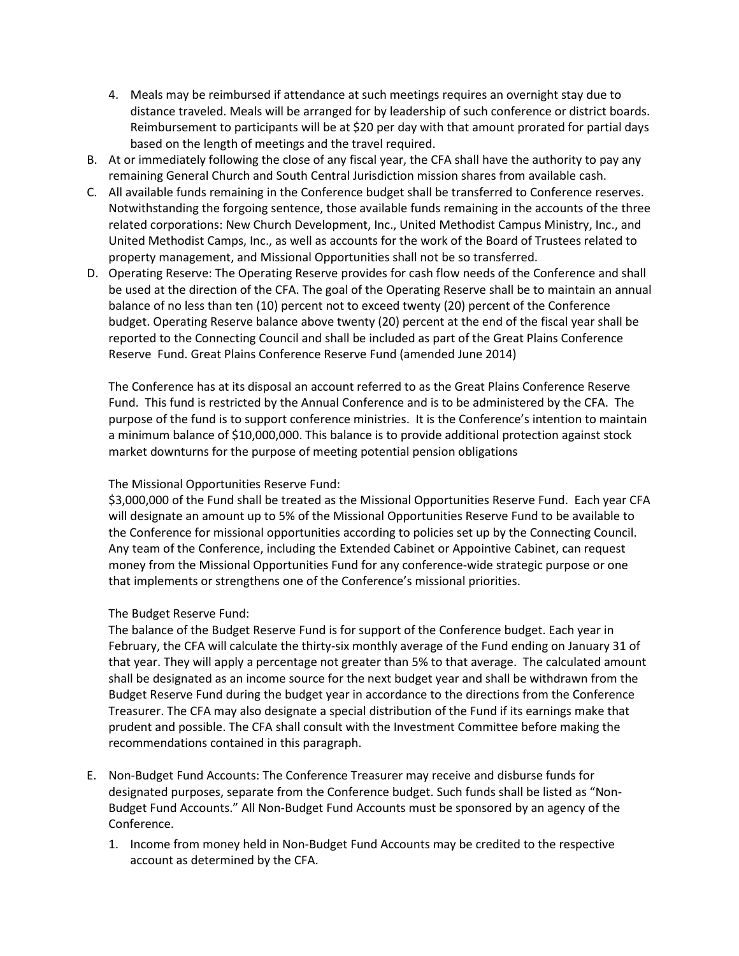- 4. Meals may be reimbursed if attendance at such meetings requires an overnight stay due to distance traveled. Meals will be arranged for by leadership of such conference or district boards. Reimbursement to participants will be at \$20 per day with that amount prorated for partial days based on the length of meetings and the travel required.
- B. At or immediately following the close of any fiscal year, the CFA shall have the authority to pay any remaining General Church and South Central Jurisdiction mission shares from available cash.
- C. All available funds remaining in the Conference budget shall be transferred to Conference reserves. Notwithstanding the forgoing sentence, those available funds remaining in the accounts of the three related corporations: New Church Development, Inc., United Methodist Campus Ministry, Inc., and United Methodist Camps, Inc., as well as accounts for the work of the Board of Trustees related to property management, and Missional Opportunities shall not be so transferred.
- D. Operating Reserve: The Operating Reserve provides for cash flow needs of the Conference and shall be used at the direction of the CFA. The goal of the Operating Reserve shall be to maintain an annual balance of no less than ten (10) percent not to exceed twenty (20) percent of the Conference budget. Operating Reserve balance above twenty (20) percent at the end of the fiscal year shall be reported to the Connecting Council and shall be included as part of the Great Plains Conference Reserve Fund. Great Plains Conference Reserve Fund (amended June 2014)

The Conference has at its disposal an account referred to as the Great Plains Conference Reserve Fund. This fund is restricted by the Annual Conference and is to be administered by the CFA. The purpose of the fund is to support conference ministries. It is the Conference's intention to maintain a minimum balance of \$10,000,000. This balance is to provide additional protection against stock market downturns for the purpose of meeting potential pension obligations

#### The Missional Opportunities Reserve Fund:

\$3,000,000 of the Fund shall be treated as the Missional Opportunities Reserve Fund. Each year CFA will designate an amount up to 5% of the Missional Opportunities Reserve Fund to be available to the Conference for missional opportunities according to policies set up by the Connecting Council. Any team of the Conference, including the Extended Cabinet or Appointive Cabinet, can request money from the Missional Opportunities Fund for any conference-wide strategic purpose or one that implements or strengthens one of the Conference's missional priorities.

### The Budget Reserve Fund:

The balance of the Budget Reserve Fund is for support of the Conference budget. Each year in February, the CFA will calculate the thirty-six monthly average of the Fund ending on January 31 of that year. They will apply a percentage not greater than 5% to that average. The calculated amount shall be designated as an income source for the next budget year and shall be withdrawn from the Budget Reserve Fund during the budget year in accordance to the directions from the Conference Treasurer. The CFA may also designate a special distribution of the Fund if its earnings make that prudent and possible. The CFA shall consult with the Investment Committee before making the recommendations contained in this paragraph.

- E. Non-Budget Fund Accounts: The Conference Treasurer may receive and disburse funds for designated purposes, separate from the Conference budget. Such funds shall be listed as "Non-Budget Fund Accounts." All Non-Budget Fund Accounts must be sponsored by an agency of the Conference.
	- 1. Income from money held in Non-Budget Fund Accounts may be credited to the respective account as determined by the CFA.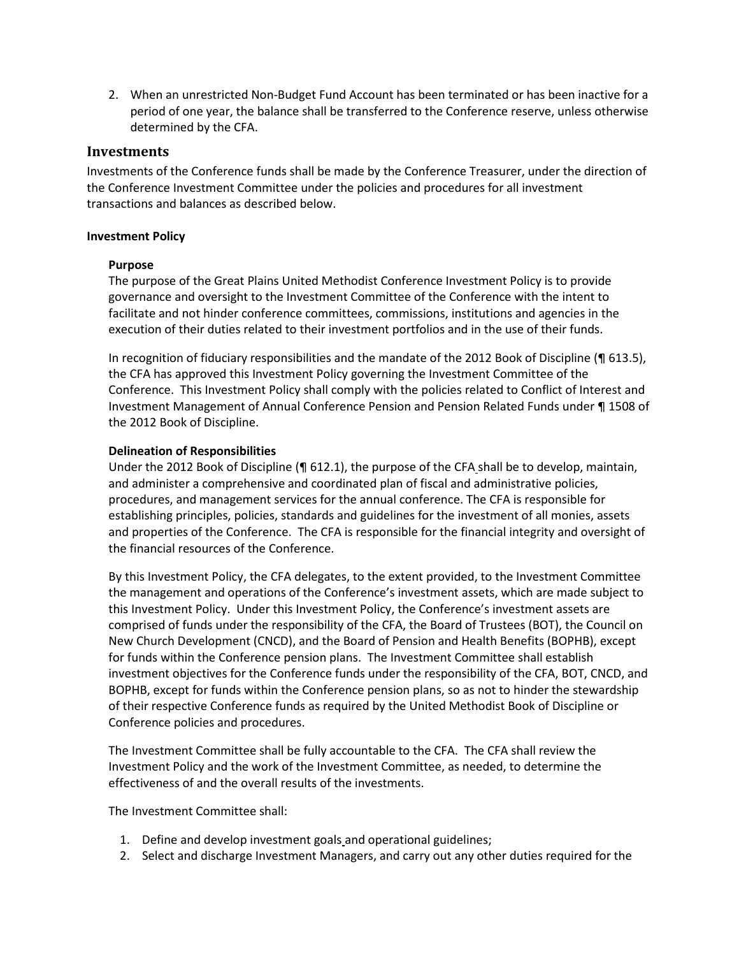2. When an unrestricted Non-Budget Fund Account has been terminated or has been inactive for a period of one year, the balance shall be transferred to the Conference reserve, unless otherwise determined by the CFA.

#### **Investments**

Investments of the Conference funds shall be made by the Conference Treasurer, under the direction of the Conference Investment Committee under the policies and procedures for all investment transactions and balances as described below.

#### **Investment Policy**

#### **Purpose**

The purpose of the Great Plains United Methodist Conference Investment Policy is to provide governance and oversight to the Investment Committee of the Conference with the intent to facilitate and not hinder conference committees, commissions, institutions and agencies in the execution of their duties related to their investment portfolios and in the use of their funds.

In recognition of fiduciary responsibilities and the mandate of the 2012 Book of Discipline (¶ 613.5), the CFA has approved this Investment Policy governing the Investment Committee of the Conference. This Investment Policy shall comply with the policies related to Conflict of Interest and Investment Management of Annual Conference Pension and Pension Related Funds under ¶ 1508 of the 2012 Book of Discipline.

#### **Delineation of Responsibilities**

Under the 2012 Book of Discipline (¶ 612.1), the purpose of the CFA shall be to develop, maintain, and administer a comprehensive and coordinated plan of fiscal and administrative policies, procedures, and management services for the annual conference. The CFA is responsible for establishing principles, policies, standards and guidelines for the investment of all monies, assets and properties of the Conference. The CFA is responsible for the financial integrity and oversight of the financial resources of the Conference.

By this Investment Policy, the CFA delegates, to the extent provided, to the Investment Committee the management and operations of the Conference's investment assets, which are made subject to this Investment Policy. Under this Investment Policy, the Conference's investment assets are comprised of funds under the responsibility of the CFA, the Board of Trustees (BOT), the Council on New Church Development (CNCD), and the Board of Pension and Health Benefits (BOPHB), except for funds within the Conference pension plans. The Investment Committee shall establish investment objectives for the Conference funds under the responsibility of the CFA, BOT, CNCD, and BOPHB, except for funds within the Conference pension plans, so as not to hinder the stewardship of their respective Conference funds as required by the United Methodist Book of Discipline or Conference policies and procedures.

The Investment Committee shall be fully accountable to the CFA. The CFA shall review the Investment Policy and the work of the Investment Committee, as needed, to determine the effectiveness of and the overall results of the investments.

The Investment Committee shall:

- 1. Define and develop investment goals and operational guidelines;
- 2. Select and discharge Investment Managers, and carry out any other duties required for the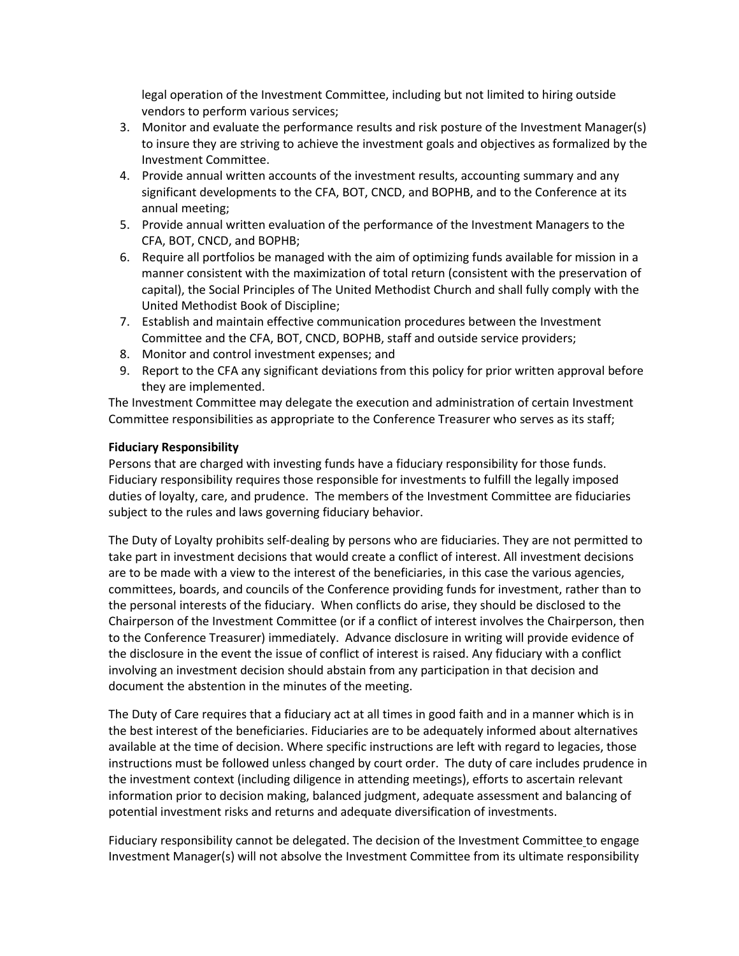legal operation of the Investment Committee, including but not limited to hiring outside vendors to perform various services;

- 3. Monitor and evaluate the performance results and risk posture of the Investment Manager(s) to insure they are striving to achieve the investment goals and objectives as formalized by the Investment Committee.
- 4. Provide annual written accounts of the investment results, accounting summary and any significant developments to the CFA, BOT, CNCD, and BOPHB, and to the Conference at its annual meeting;
- 5. Provide annual written evaluation of the performance of the Investment Managers to the CFA, BOT, CNCD, and BOPHB;
- 6. Require all portfolios be managed with the aim of optimizing funds available for mission in a manner consistent with the maximization of total return (consistent with the preservation of capital), the Social Principles of The United Methodist Church and shall fully comply with the United Methodist Book of Discipline;
- 7. Establish and maintain effective communication procedures between the Investment Committee and the CFA, BOT, CNCD, BOPHB, staff and outside service providers;
- 8. Monitor and control investment expenses; and
- 9. Report to the CFA any significant deviations from this policy for prior written approval before they are implemented.

The Investment Committee may delegate the execution and administration of certain Investment Committee responsibilities as appropriate to the Conference Treasurer who serves as its staff;

#### **Fiduciary Responsibility**

Persons that are charged with investing funds have a fiduciary responsibility for those funds. Fiduciary responsibility requires those responsible for investments to fulfill the legally imposed duties of loyalty, care, and prudence. The members of the Investment Committee are fiduciaries subject to the rules and laws governing fiduciary behavior.

The Duty of Loyalty prohibits self-dealing by persons who are fiduciaries. They are not permitted to take part in investment decisions that would create a conflict of interest. All investment decisions are to be made with a view to the interest of the beneficiaries, in this case the various agencies, committees, boards, and councils of the Conference providing funds for investment, rather than to the personal interests of the fiduciary. When conflicts do arise, they should be disclosed to the Chairperson of the Investment Committee (or if a conflict of interest involves the Chairperson, then to the Conference Treasurer) immediately. Advance disclosure in writing will provide evidence of the disclosure in the event the issue of conflict of interest is raised. Any fiduciary with a conflict involving an investment decision should abstain from any participation in that decision and document the abstention in the minutes of the meeting.

The Duty of Care requires that a fiduciary act at all times in good faith and in a manner which is in the best interest of the beneficiaries. Fiduciaries are to be adequately informed about alternatives available at the time of decision. Where specific instructions are left with regard to legacies, those instructions must be followed unless changed by court order. The duty of care includes prudence in the investment context (including diligence in attending meetings), efforts to ascertain relevant information prior to decision making, balanced judgment, adequate assessment and balancing of potential investment risks and returns and adequate diversification of investments.

Fiduciary responsibility cannot be delegated. The decision of the Investment Committee to engage Investment Manager(s) will not absolve the Investment Committee from its ultimate responsibility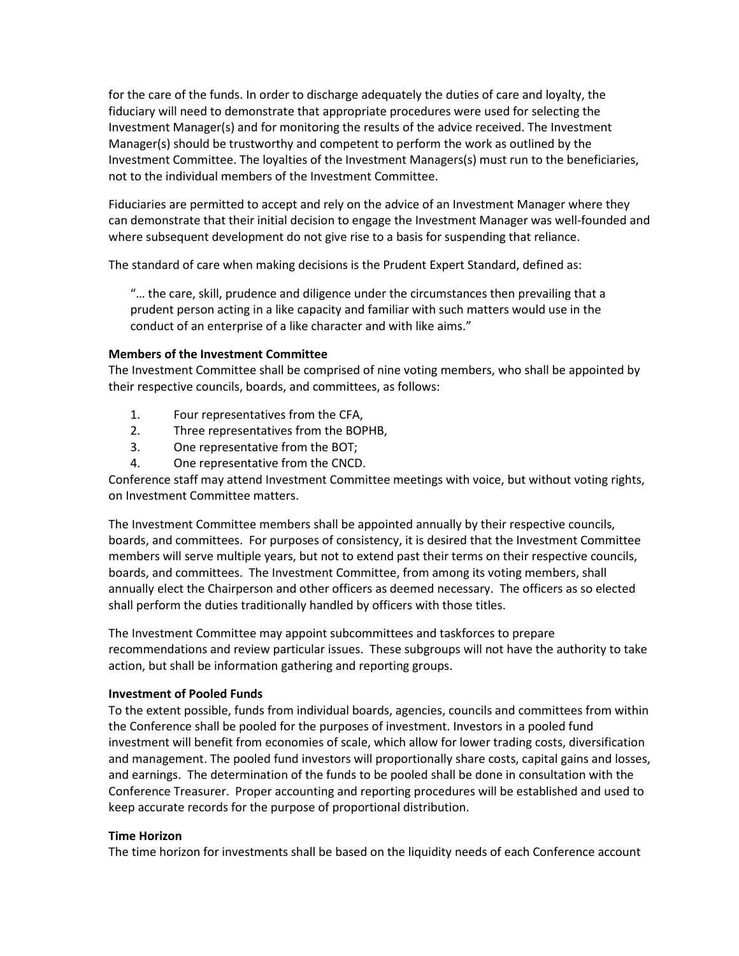for the care of the funds. In order to discharge adequately the duties of care and loyalty, the fiduciary will need to demonstrate that appropriate procedures were used for selecting the Investment Manager(s) and for monitoring the results of the advice received. The Investment Manager(s) should be trustworthy and competent to perform the work as outlined by the Investment Committee. The loyalties of the Investment Managers(s) must run to the beneficiaries, not to the individual members of the Investment Committee.

Fiduciaries are permitted to accept and rely on the advice of an Investment Manager where they can demonstrate that their initial decision to engage the Investment Manager was well-founded and where subsequent development do not give rise to a basis for suspending that reliance.

The standard of care when making decisions is the Prudent Expert Standard, defined as:

"… the care, skill, prudence and diligence under the circumstances then prevailing that a prudent person acting in a like capacity and familiar with such matters would use in the conduct of an enterprise of a like character and with like aims."

#### **Members of the Investment Committee**

The Investment Committee shall be comprised of nine voting members, who shall be appointed by their respective councils, boards, and committees, as follows:

- 1. Four representatives from the CFA,
- 2. Three representatives from the BOPHB,
- 3. One representative from the BOT;
- 4. One representative from the CNCD.

Conference staff may attend Investment Committee meetings with voice, but without voting rights, on Investment Committee matters.

The Investment Committee members shall be appointed annually by their respective councils, boards, and committees. For purposes of consistency, it is desired that the Investment Committee members will serve multiple years, but not to extend past their terms on their respective councils, boards, and committees. The Investment Committee, from among its voting members, shall annually elect the Chairperson and other officers as deemed necessary. The officers as so elected shall perform the duties traditionally handled by officers with those titles.

The Investment Committee may appoint subcommittees and taskforces to prepare recommendations and review particular issues. These subgroups will not have the authority to take action, but shall be information gathering and reporting groups.

#### **Investment of Pooled Funds**

To the extent possible, funds from individual boards, agencies, councils and committees from within the Conference shall be pooled for the purposes of investment. Investors in a pooled fund investment will benefit from economies of scale, which allow for lower trading costs, diversification and management. The pooled fund investors will proportionally share costs, capital gains and losses, and earnings. The determination of the funds to be pooled shall be done in consultation with the Conference Treasurer. Proper accounting and reporting procedures will be established and used to keep accurate records for the purpose of proportional distribution.

#### **Time Horizon**

The time horizon for investments shall be based on the liquidity needs of each Conference account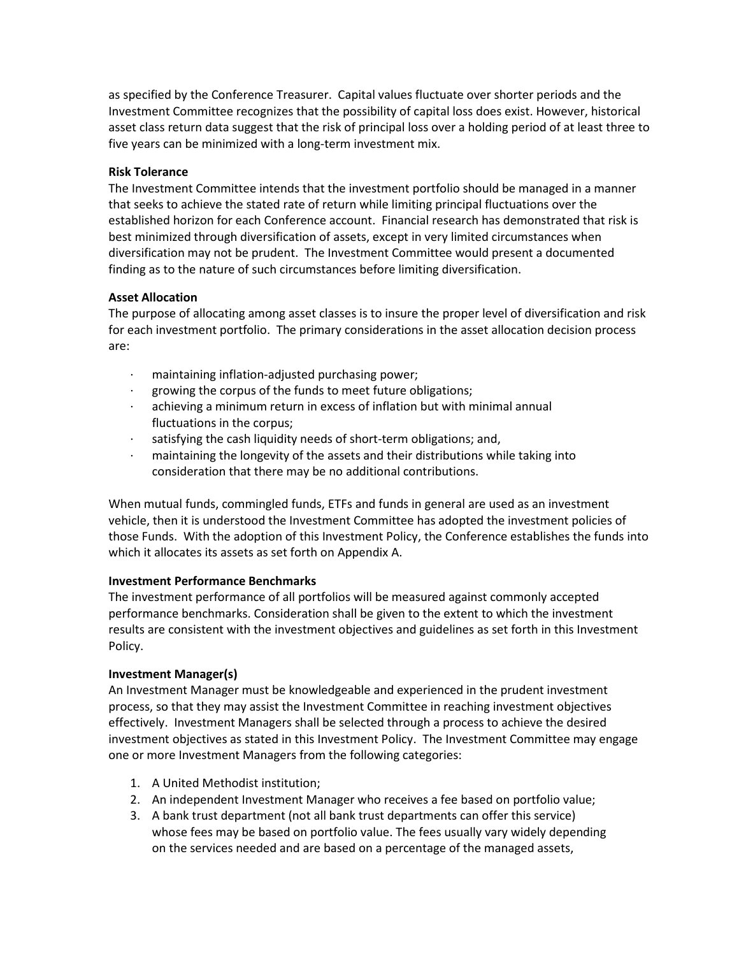as specified by the Conference Treasurer. Capital values fluctuate over shorter periods and the Investment Committee recognizes that the possibility of capital loss does exist. However, historical asset class return data suggest that the risk of principal loss over a holding period of at least three to five years can be minimized with a long-term investment mix.

#### **Risk Tolerance**

The Investment Committee intends that the investment portfolio should be managed in a manner that seeks to achieve the stated rate of return while limiting principal fluctuations over the established horizon for each Conference account. Financial research has demonstrated that risk is best minimized through diversification of assets, except in very limited circumstances when diversification may not be prudent. The Investment Committee would present a documented finding as to the nature of such circumstances before limiting diversification.

#### **Asset Allocation**

The purpose of allocating among asset classes is to insure the proper level of diversification and risk for each investment portfolio. The primary considerations in the asset allocation decision process are:

- · maintaining inflation-adjusted purchasing power;
- · growing the corpus of the funds to meet future obligations;
- achieving a minimum return in excess of inflation but with minimal annual fluctuations in the corpus;
- satisfying the cash liquidity needs of short-term obligations; and,
- · maintaining the longevity of the assets and their distributions while taking into consideration that there may be no additional contributions.

When mutual funds, commingled funds, ETFs and funds in general are used as an investment vehicle, then it is understood the Investment Committee has adopted the investment policies of those Funds. With the adoption of this Investment Policy, the Conference establishes the funds into which it allocates its assets as set forth on Appendix A.

#### **Investment Performance Benchmarks**

The investment performance of all portfolios will be measured against commonly accepted performance benchmarks. Consideration shall be given to the extent to which the investment results are consistent with the investment objectives and guidelines as set forth in this Investment Policy.

### **Investment Manager(s)**

An Investment Manager must be knowledgeable and experienced in the prudent investment process, so that they may assist the Investment Committee in reaching investment objectives effectively. Investment Managers shall be selected through a process to achieve the desired investment objectives as stated in this Investment Policy. The Investment Committee may engage one or more Investment Managers from the following categories:

- 1. A United Methodist institution;
- 2. An independent Investment Manager who receives a fee based on portfolio value;
- 3. A bank trust department (not all bank trust departments can offer this service) whose fees may be based on portfolio value. The fees usually vary widely depending on the services needed and are based on a percentage of the managed assets,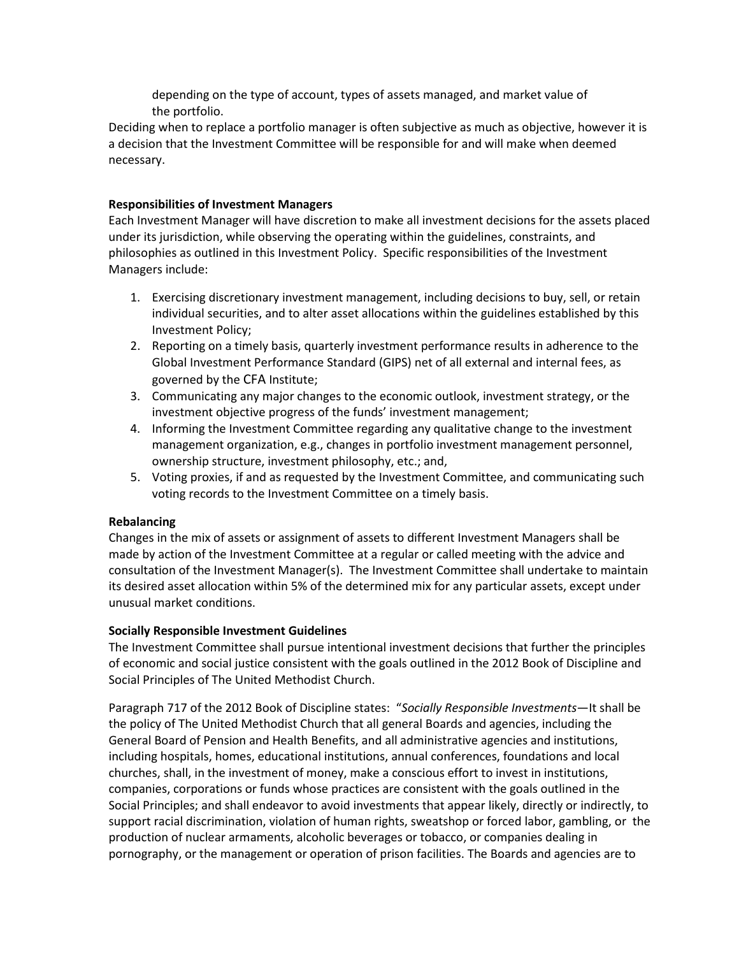depending on the type of account, types of assets managed, and market value of the portfolio.

Deciding when to replace a portfolio manager is often subjective as much as objective, however it is a decision that the Investment Committee will be responsible for and will make when deemed necessary.

#### **Responsibilities of Investment Managers**

Each Investment Manager will have discretion to make all investment decisions for the assets placed under its jurisdiction, while observing the operating within the guidelines, constraints, and philosophies as outlined in this Investment Policy. Specific responsibilities of the Investment Managers include:

- 1. Exercising discretionary investment management, including decisions to buy, sell, or retain individual securities, and to alter asset allocations within the guidelines established by this Investment Policy;
- 2. Reporting on a timely basis, quarterly investment performance results in adherence to the Global Investment Performance Standard (GIPS) net of all external and internal fees, as governed by the CFA Institute;
- 3. Communicating any major changes to the economic outlook, investment strategy, or the investment objective progress of the funds' investment management;
- 4. Informing the Investment Committee regarding any qualitative change to the investment management organization, e.g., changes in portfolio investment management personnel, ownership structure, investment philosophy, etc.; and,
- 5. Voting proxies, if and as requested by the Investment Committee, and communicating such voting records to the Investment Committee on a timely basis.

#### **Rebalancing**

Changes in the mix of assets or assignment of assets to different Investment Managers shall be made by action of the Investment Committee at a regular or called meeting with the advice and consultation of the Investment Manager(s). The Investment Committee shall undertake to maintain its desired asset allocation within 5% of the determined mix for any particular assets, except under unusual market conditions.

#### **Socially Responsible Investment Guidelines**

The Investment Committee shall pursue intentional investment decisions that further the principles of economic and social justice consistent with the goals outlined in the 2012 Book of Discipline and Social Principles of The United Methodist Church.

Paragraph 717 of the 2012 Book of Discipline states: "*Socially Responsible Investments*—It shall be the policy of The United Methodist Church that all general Boards and agencies, including the General Board of Pension and Health Benefits, and all administrative agencies and institutions, including hospitals, homes, educational institutions, annual conferences, foundations and local churches, shall, in the investment of money, make a conscious effort to invest in institutions, companies, corporations or funds whose practices are consistent with the goals outlined in the Social Principles; and shall endeavor to avoid investments that appear likely, directly or indirectly, to support racial discrimination, violation of human rights, sweatshop or forced labor, gambling, or the production of nuclear armaments, alcoholic beverages or tobacco, or companies dealing in pornography, or the management or operation of prison facilities. The Boards and agencies are to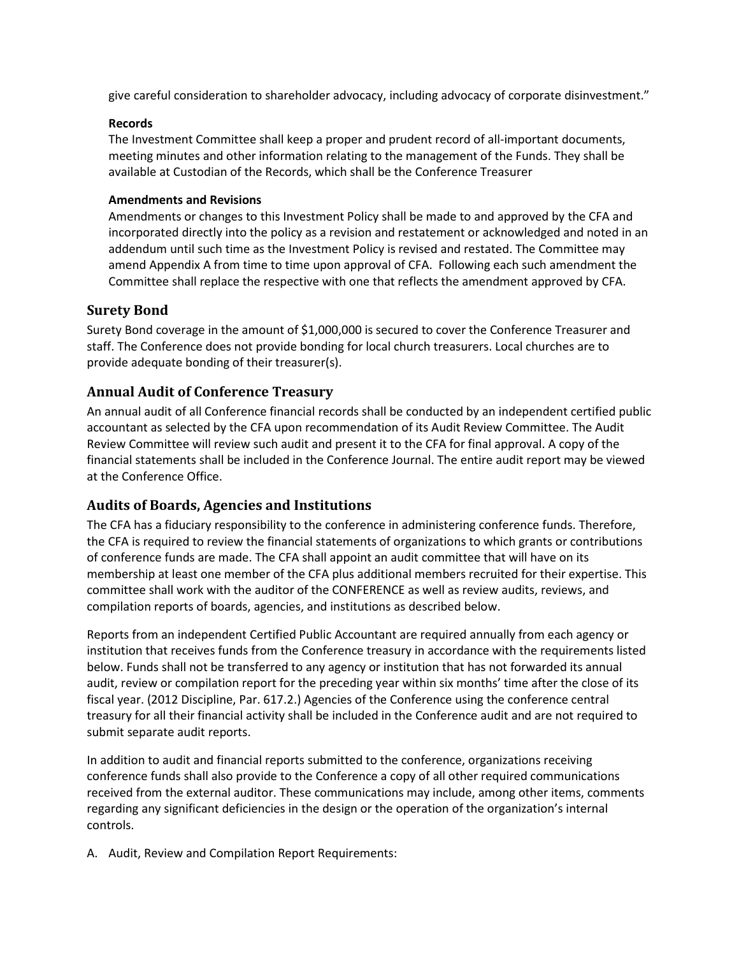give careful consideration to shareholder advocacy, including advocacy of corporate disinvestment."

#### **Records**

The Investment Committee shall keep a proper and prudent record of all-important documents, meeting minutes and other information relating to the management of the Funds. They shall be available at Custodian of the Records, which shall be the Conference Treasurer

### **Amendments and Revisions**

Amendments or changes to this Investment Policy shall be made to and approved by the CFA and incorporated directly into the policy as a revision and restatement or acknowledged and noted in an addendum until such time as the Investment Policy is revised and restated. The Committee may amend Appendix A from time to time upon approval of CFA. Following each such amendment the Committee shall replace the respective with one that reflects the amendment approved by CFA.

### **Surety Bond**

Surety Bond coverage in the amount of \$1,000,000 is secured to cover the Conference Treasurer and staff. The Conference does not provide bonding for local church treasurers. Local churches are to provide adequate bonding of their treasurer(s).

### **Annual Audit of Conference Treasury**

An annual audit of all Conference financial records shall be conducted by an independent certified public accountant as selected by the CFA upon recommendation of its Audit Review Committee. The Audit Review Committee will review such audit and present it to the CFA for final approval. A copy of the financial statements shall be included in the Conference Journal. The entire audit report may be viewed at the Conference Office.

### **Audits of Boards, Agencies and Institutions**

The CFA has a fiduciary responsibility to the conference in administering conference funds. Therefore, the CFA is required to review the financial statements of organizations to which grants or contributions of conference funds are made. The CFA shall appoint an audit committee that will have on its membership at least one member of the CFA plus additional members recruited for their expertise. This committee shall work with the auditor of the CONFERENCE as well as review audits, reviews, and compilation reports of boards, agencies, and institutions as described below.

Reports from an independent Certified Public Accountant are required annually from each agency or institution that receives funds from the Conference treasury in accordance with the requirements listed below. Funds shall not be transferred to any agency or institution that has not forwarded its annual audit, review or compilation report for the preceding year within six months' time after the close of its fiscal year. (2012 Discipline, Par. 617.2.) Agencies of the Conference using the conference central treasury for all their financial activity shall be included in the Conference audit and are not required to submit separate audit reports.

In addition to audit and financial reports submitted to the conference, organizations receiving conference funds shall also provide to the Conference a copy of all other required communications received from the external auditor. These communications may include, among other items, comments regarding any significant deficiencies in the design or the operation of the organization's internal controls.

A. Audit, Review and Compilation Report Requirements: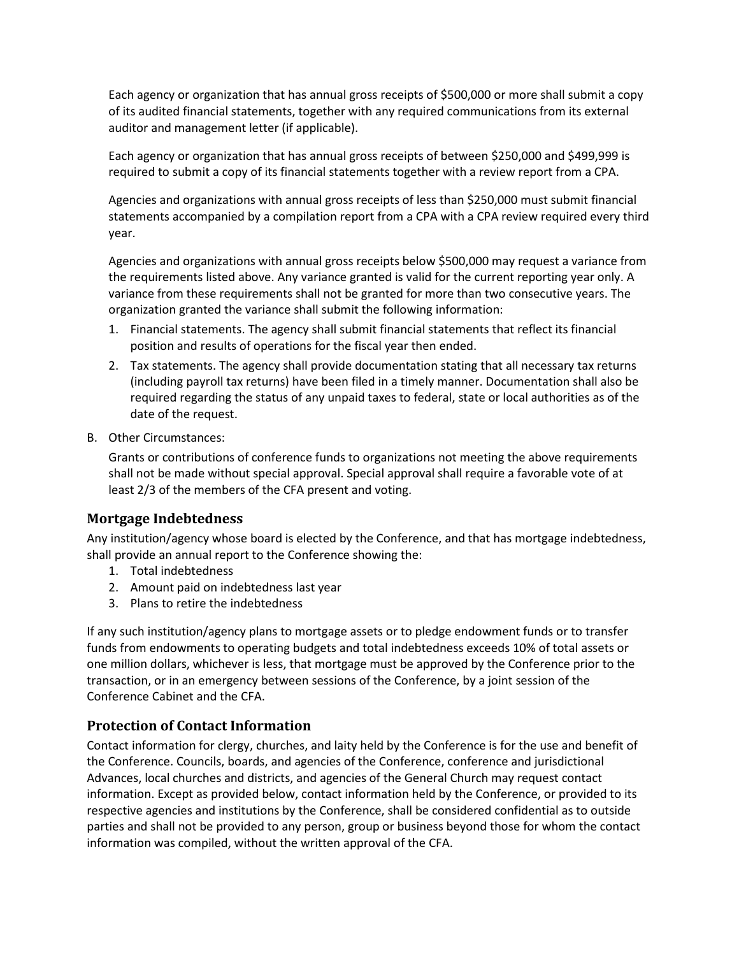Each agency or organization that has annual gross receipts of \$500,000 or more shall submit a copy of its audited financial statements, together with any required communications from its external auditor and management letter (if applicable).

Each agency or organization that has annual gross receipts of between \$250,000 and \$499,999 is required to submit a copy of its financial statements together with a review report from a CPA.

Agencies and organizations with annual gross receipts of less than \$250,000 must submit financial statements accompanied by a compilation report from a CPA with a CPA review required every third year.

Agencies and organizations with annual gross receipts below \$500,000 may request a variance from the requirements listed above. Any variance granted is valid for the current reporting year only. A variance from these requirements shall not be granted for more than two consecutive years. The organization granted the variance shall submit the following information:

- 1. Financial statements. The agency shall submit financial statements that reflect its financial position and results of operations for the fiscal year then ended.
- 2. Tax statements. The agency shall provide documentation stating that all necessary tax returns (including payroll tax returns) have been filed in a timely manner. Documentation shall also be required regarding the status of any unpaid taxes to federal, state or local authorities as of the date of the request.
- B. Other Circumstances:

Grants or contributions of conference funds to organizations not meeting the above requirements shall not be made without special approval. Special approval shall require a favorable vote of at least 2/3 of the members of the CFA present and voting.

### **Mortgage Indebtedness**

Any institution/agency whose board is elected by the Conference, and that has mortgage indebtedness, shall provide an annual report to the Conference showing the:

- 1. Total indebtedness
- 2. Amount paid on indebtedness last year
- 3. Plans to retire the indebtedness

If any such institution/agency plans to mortgage assets or to pledge endowment funds or to transfer funds from endowments to operating budgets and total indebtedness exceeds 10% of total assets or one million dollars, whichever is less, that mortgage must be approved by the Conference prior to the transaction, or in an emergency between sessions of the Conference, by a joint session of the Conference Cabinet and the CFA.

### **Protection of Contact Information**

Contact information for clergy, churches, and laity held by the Conference is for the use and benefit of the Conference. Councils, boards, and agencies of the Conference, conference and jurisdictional Advances, local churches and districts, and agencies of the General Church may request contact information. Except as provided below, contact information held by the Conference, or provided to its respective agencies and institutions by the Conference, shall be considered confidential as to outside parties and shall not be provided to any person, group or business beyond those for whom the contact information was compiled, without the written approval of the CFA.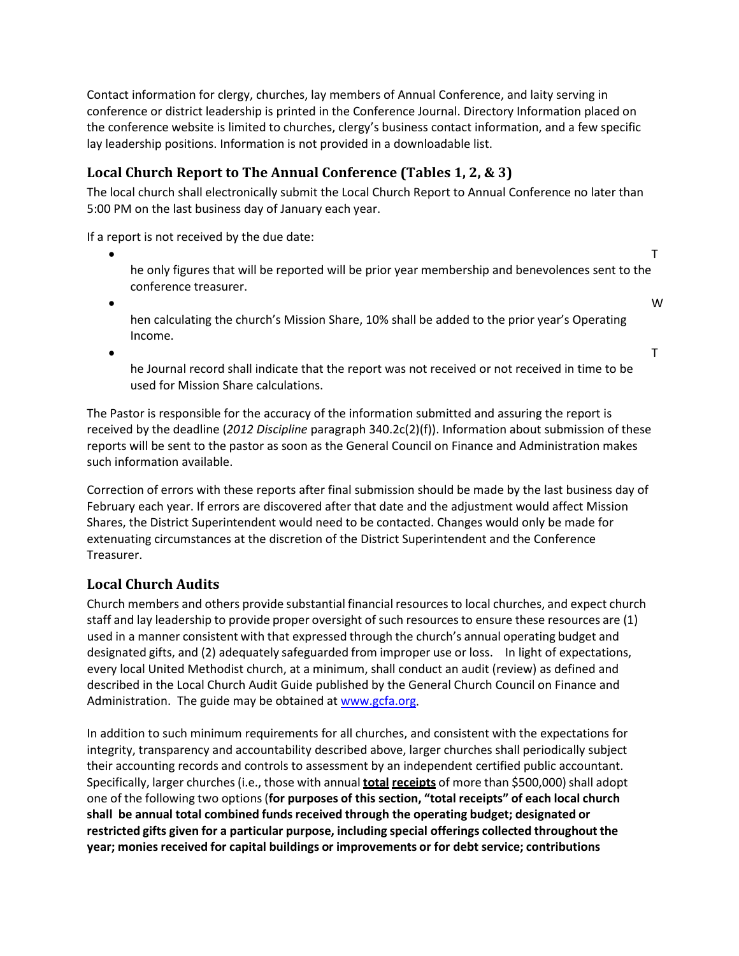Contact information for clergy, churches, lay members of Annual Conference, and laity serving in conference or district leadership is printed in the Conference Journal. Directory Information placed on the conference website is limited to churches, clergy's business contact information, and a few specific lay leadership positions. Information is not provided in a downloadable list.

# **Local Church Report to The Annual Conference (Tables 1, 2, & 3)**

The local church shall electronically submit the Local Church Report to Annual Conference no later than 5:00 PM on the last business day of January each year.

If a report is not received by the due date:

 $\bullet$  The contract of the contract of the contract of the contract of the contract of the contract of the contract of the contract of the contract of the contract of the contract of the contract of the contract of the cont he only figures that will be reported will be prior year membership and benevolences sent to the conference treasurer.

• W

hen calculating the church's Mission Share, 10% shall be added to the prior year's Operating Income.

 $\bullet$  The contract of the contract of the contract of the contract of the contract of the contract of the contract of the contract of the contract of the contract of the contract of the contract of the contract of the cont

he Journal record shall indicate that the report was not received or not received in time to be used for Mission Share calculations.

The Pastor is responsible for the accuracy of the information submitted and assuring the report is received by the deadline (*2012 Discipline* paragraph 340.2c(2)(f)). Information about submission of these reports will be sent to the pastor as soon as the General Council on Finance and Administration makes such information available.

Correction of errors with these reports after final submission should be made by the last business day of February each year. If errors are discovered after that date and the adjustment would affect Mission Shares, the District Superintendent would need to be contacted. Changes would only be made for extenuating circumstances at the discretion of the District Superintendent and the Conference Treasurer.

# **Local Church Audits**

Church members and others provide substantial financial resourcesto local churches, and expect church staff and lay leadership to provide proper oversight of such resources to ensure these resources are (1) used in a manner consistent with that expressed through the church's annual operating budget and designated gifts, and (2) adequately safeguarded from improper use or loss. In light of expectations, every local United Methodist church, at a minimum, shall conduct an audit (review) as defined and described in the Local Church Audit Guide published by the General Church Council on Finance and Administration. The guide may be obtained at [www.gcfa.org.](http://www.gcfa.org/)

In addition to such minimum requirements for all churches, and consistent with the expectations for integrity, transparency and accountability described above, larger churches shall periodically subject their accounting records and controls to assessment by an independent certified public accountant. Specifically, larger churches (i.e., those with annual **total receipts** of more than \$500,000) shall adopt one of the following two options(**for purposes of this section, "total receipts" of each local church shall be annual total combined funds received through the operating budget; designated or restricted gifts given for a particular purpose, including special offerings collected throughout the year; moniesreceived for capital buildings or improvements or for debt service; contributions**